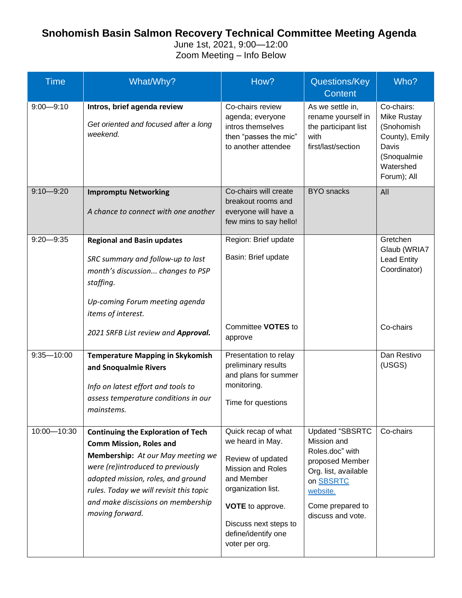## **Snohomish Basin Salmon Recovery Technical Committee Meeting Agenda**

June 1st, 2021, 9:00—12:00 Zoom Meeting – Info Below

| <b>Time</b>    | What/Why?                                                                                                                                                                                                                                                                                       | How?                                                                                                                                                                                                                      | Questions/Key<br><b>Content</b>                                                                                                                                       | Who?                                                                                                          |
|----------------|-------------------------------------------------------------------------------------------------------------------------------------------------------------------------------------------------------------------------------------------------------------------------------------------------|---------------------------------------------------------------------------------------------------------------------------------------------------------------------------------------------------------------------------|-----------------------------------------------------------------------------------------------------------------------------------------------------------------------|---------------------------------------------------------------------------------------------------------------|
| $9:00 - 9:10$  | Intros, brief agenda review<br>Get oriented and focused after a long<br>weekend.                                                                                                                                                                                                                | Co-chairs review<br>agenda; everyone<br>intros themselves<br>then "passes the mic"<br>to another attendee                                                                                                                 | As we settle in,<br>rename yourself in<br>the participant list<br>with<br>first/last/section                                                                          | Co-chairs:<br>Mike Rustay<br>(Snohomish<br>County), Emily<br>Davis<br>(Snoqualmie<br>Watershed<br>Forum); All |
| $9:10 - 9:20$  | <b>Impromptu Networking</b><br>A chance to connect with one another                                                                                                                                                                                                                             | Co-chairs will create<br>breakout rooms and<br>everyone will have a<br>few mins to say hello!                                                                                                                             | <b>BYO</b> snacks                                                                                                                                                     | All                                                                                                           |
| $9:20 - 9:35$  | <b>Regional and Basin updates</b><br>SRC summary and follow-up to last<br>month's discussion changes to PSP<br>staffing.<br>Up-coming Forum meeting agenda<br>items of interest.                                                                                                                | Region: Brief update<br>Basin: Brief update                                                                                                                                                                               |                                                                                                                                                                       | Gretchen<br>Glaub (WRIA7<br><b>Lead Entity</b><br>Coordinator)                                                |
|                | 2021 SRFB List review and Approval.                                                                                                                                                                                                                                                             | Committee VOTES to<br>approve                                                                                                                                                                                             |                                                                                                                                                                       | Co-chairs                                                                                                     |
| $9:35 - 10:00$ | <b>Temperature Mapping in Skykomish</b><br>and Snoqualmie Rivers<br>Info on latest effort and tools to<br>assess temperature conditions in our<br>mainstems.                                                                                                                                    | Presentation to relay<br>preliminary results<br>and plans for summer<br>monitoring.<br>Time for questions                                                                                                                 |                                                                                                                                                                       | Dan Restivo<br>(USGS)                                                                                         |
| 10:00-10:30    | <b>Continuing the Exploration of Tech</b><br><b>Comm Mission, Roles and</b><br>Membership: At our May meeting we<br>were (re)introduced to previously<br>adopted mission, roles, and ground<br>rules. Today we will revisit this topic<br>and make discissions on membership<br>moving forward. | Quick recap of what<br>we heard in May.<br>Review of updated<br><b>Mission and Roles</b><br>and Member<br>organization list.<br><b>VOTE</b> to approve.<br>Discuss next steps to<br>define/identify one<br>voter per org. | <b>Updated "SBSRTC</b><br>Mission and<br>Roles.doc" with<br>proposed Member<br>Org. list, available<br>on SBSRTC<br>website.<br>Come prepared to<br>discuss and vote. | Co-chairs                                                                                                     |